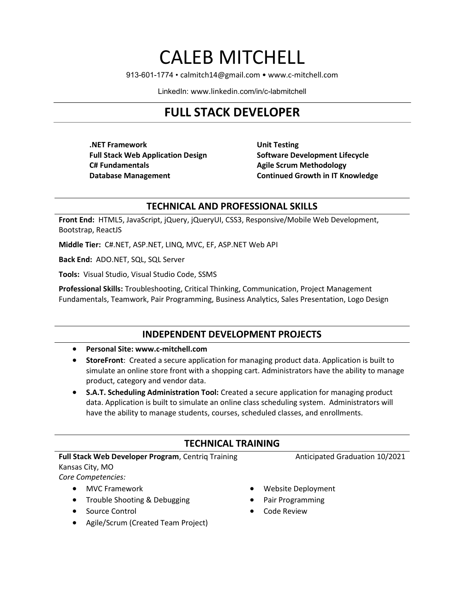# CALEB MITCHELL

913-601-1774 • calmitch14@gmail.com • www.c-mitchell.com

LinkedIn: www.linkedin.com/in/c-labmitchell

# FULL STACK DEVELOPER

.NET Framework Full Stack Web Application Design C# Fundamentals Database Management

Unit Testing Software Development Lifecycle Agile Scrum Methodology Continued Growth in IT Knowledge

#### TECHNICAL AND PROFESSIONAL SKILLS

Front End: HTML5, JavaScript, jQuery, jQueryUI, CSS3, Responsive/Mobile Web Development, Bootstrap, ReactJS

Middle Tier: C#.NET, ASP.NET, LINQ, MVC, EF, ASP.NET Web API

Back End: ADO.NET, SQL, SQL Server

Tools: Visual Studio, Visual Studio Code, SSMS

Professional Skills: Troubleshooting, Critical Thinking, Communication, Project Management Fundamentals, Teamwork, Pair Programming, Business Analytics, Sales Presentation, Logo Design

#### INDEPENDENT DEVELOPMENT PROJECTS

#### Personal Site: www.c-mitchell.com

- StoreFront: Created a secure application for managing product data. Application is built to simulate an online store front with a shopping cart. Administrators have the ability to manage product, category and vendor data.
- S.A.T. Scheduling Administration Tool: Created a secure application for managing product data. Application is built to simulate an online class scheduling system. Administrators will have the ability to manage students, courses, scheduled classes, and enrollments.

## TECHNICAL TRAINING

#### Full Stack Web Developer Program, Centriq Training

Kansas City, MO

Core Competencies:

- MVC Framework
- Trouble Shooting & Debugging
- Source Control
- Agile/Scrum (Created Team Project)
- Website Deployment
- Pair Programming
- Code Review

Anticipated Graduation 10/2021